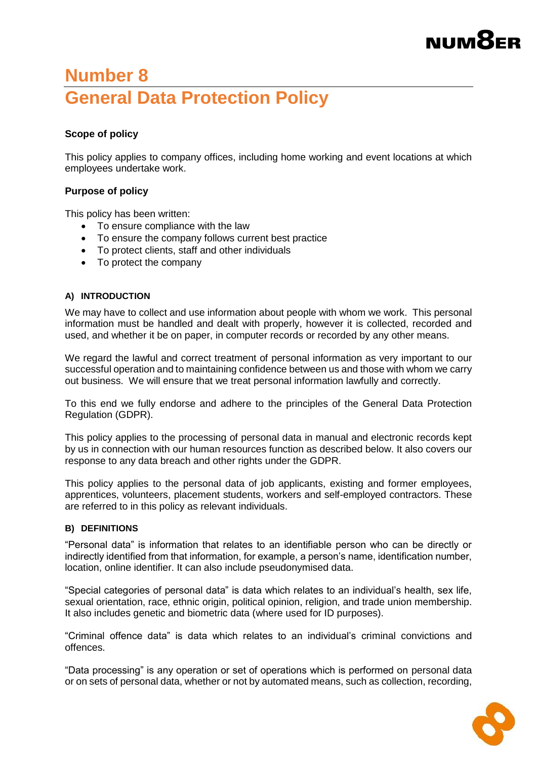# **NUM**<sup>8</sup>ER

### **Number 8 General Data Protection Policy**

### **Scope of policy**

This policy applies to company offices, including home working and event locations at which employees undertake work.

### **Purpose of policy**

This policy has been written:

- To ensure compliance with the law
- To ensure the company follows current best practice
- To protect clients, staff and other individuals
- To protect the company

### **A) INTRODUCTION**

We may have to collect and use information about people with whom we work. This personal information must be handled and dealt with properly, however it is collected, recorded and used, and whether it be on paper, in computer records or recorded by any other means.

We regard the lawful and correct treatment of personal information as very important to our successful operation and to maintaining confidence between us and those with whom we carry out business. We will ensure that we treat personal information lawfully and correctly.

To this end we fully endorse and adhere to the principles of the General Data Protection Regulation (GDPR).

This policy applies to the processing of personal data in manual and electronic records kept by us in connection with our human resources function as described below. It also covers our response to any data breach and other rights under the GDPR.

This policy applies to the personal data of job applicants, existing and former employees, apprentices, volunteers, placement students, workers and self-employed contractors. These are referred to in this policy as relevant individuals.

### **B) DEFINITIONS**

"Personal data" is information that relates to an identifiable person who can be directly or indirectly identified from that information, for example, a person's name, identification number, location, online identifier. It can also include pseudonymised data.

"Special categories of personal data" is data which relates to an individual's health, sex life, sexual orientation, race, ethnic origin, political opinion, religion, and trade union membership. It also includes genetic and biometric data (where used for ID purposes).

"Criminal offence data" is data which relates to an individual's criminal convictions and offences.

"Data processing" is any operation or set of operations which is performed on personal data or on sets of personal data, whether or not by automated means, such as collection, recording,

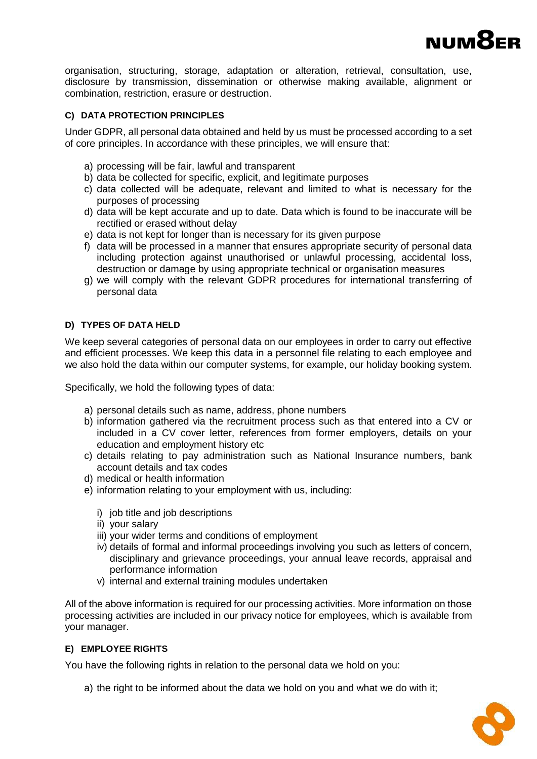

organisation, structuring, storage, adaptation or alteration, retrieval, consultation, use, disclosure by transmission, dissemination or otherwise making available, alignment or combination, restriction, erasure or destruction.

### **C) DATA PROTECTION PRINCIPLES**

Under GDPR, all personal data obtained and held by us must be processed according to a set of core principles. In accordance with these principles, we will ensure that:

- a) processing will be fair, lawful and transparent
- b) data be collected for specific, explicit, and legitimate purposes
- c) data collected will be adequate, relevant and limited to what is necessary for the purposes of processing
- d) data will be kept accurate and up to date. Data which is found to be inaccurate will be rectified or erased without delay
- e) data is not kept for longer than is necessary for its given purpose
- f) data will be processed in a manner that ensures appropriate security of personal data including protection against unauthorised or unlawful processing, accidental loss, destruction or damage by using appropriate technical or organisation measures
- g) we will comply with the relevant GDPR procedures for international transferring of personal data

### **D) TYPES OF DATA HELD**

We keep several categories of personal data on our employees in order to carry out effective and efficient processes. We keep this data in a personnel file relating to each employee and we also hold the data within our computer systems, for example, our holiday booking system.

Specifically, we hold the following types of data:

- a) personal details such as name, address, phone numbers
- b) information gathered via the recruitment process such as that entered into a CV or included in a CV cover letter, references from former employers, details on your education and employment history etc
- c) details relating to pay administration such as National Insurance numbers, bank account details and tax codes
- d) medical or health information
- e) information relating to your employment with us, including:
	- i) job title and job descriptions
	- ii) your salary
	- iii) your wider terms and conditions of employment
	- iv) details of formal and informal proceedings involving you such as letters of concern, disciplinary and grievance proceedings, your annual leave records, appraisal and performance information
	- v) internal and external training modules undertaken

All of the above information is required for our processing activities. More information on those processing activities are included in our privacy notice for employees, which is available from your manager.

### **E) EMPLOYEE RIGHTS**

You have the following rights in relation to the personal data we hold on you:

a) the right to be informed about the data we hold on you and what we do with it;

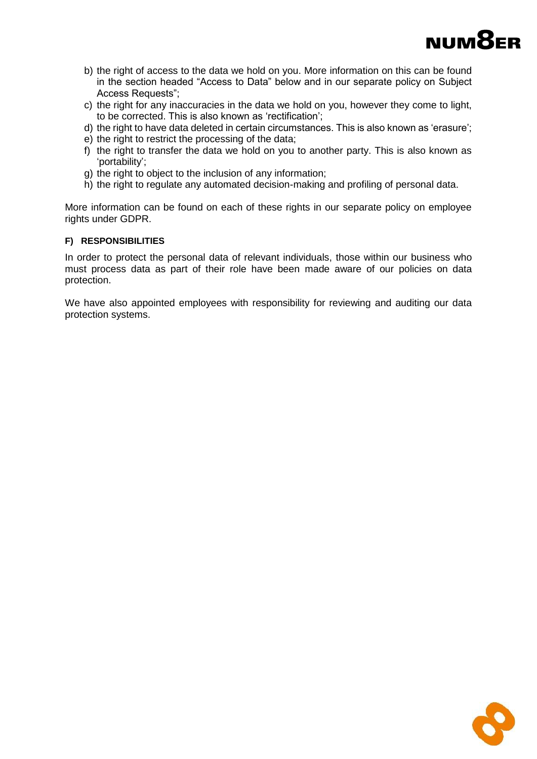

- b) the right of access to the data we hold on you. More information on this can be found in the section headed "Access to Data" below and in our separate policy on Subject Access Requests";
- c) the right for any inaccuracies in the data we hold on you, however they come to light, to be corrected. This is also known as 'rectification';
- d) the right to have data deleted in certain circumstances. This is also known as 'erasure';
- e) the right to restrict the processing of the data;
- f) the right to transfer the data we hold on you to another party. This is also known as 'portability';
- g) the right to object to the inclusion of any information;
- h) the right to regulate any automated decision-making and profiling of personal data.

More information can be found on each of these rights in our separate policy on employee rights under GDPR.

### **F) RESPONSIBILITIES**

In order to protect the personal data of relevant individuals, those within our business who must process data as part of their role have been made aware of our policies on data protection.

We have also appointed employees with responsibility for reviewing and auditing our data protection systems.

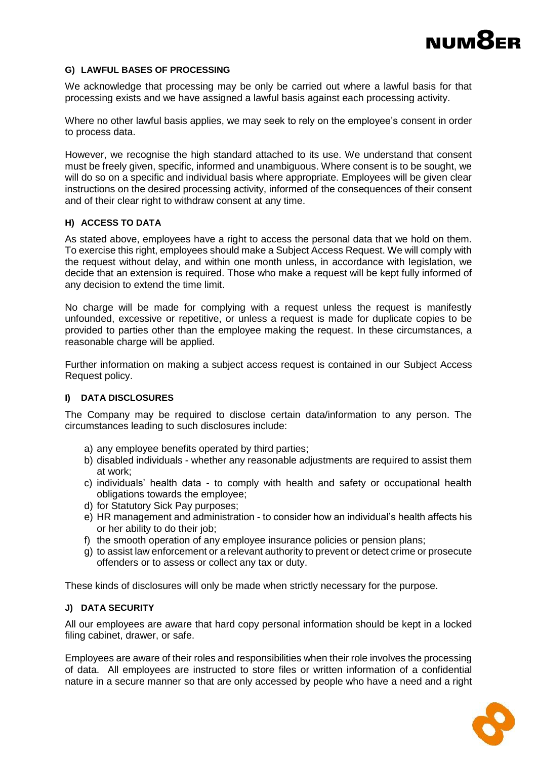## **NUM**<sup>8</sup>ER

### **G) LAWFUL BASES OF PROCESSING**

We acknowledge that processing may be only be carried out where a lawful basis for that processing exists and we have assigned a lawful basis against each processing activity.

Where no other lawful basis applies, we may seek to rely on the employee's consent in order to process data.

However, we recognise the high standard attached to its use. We understand that consent must be freely given, specific, informed and unambiguous. Where consent is to be sought, we will do so on a specific and individual basis where appropriate. Employees will be given clear instructions on the desired processing activity, informed of the consequences of their consent and of their clear right to withdraw consent at any time.

### **H) ACCESS TO DATA**

As stated above, employees have a right to access the personal data that we hold on them. To exercise this right, employees should make a Subject Access Request. We will comply with the request without delay, and within one month unless, in accordance with legislation, we decide that an extension is required. Those who make a request will be kept fully informed of any decision to extend the time limit.

No charge will be made for complying with a request unless the request is manifestly unfounded, excessive or repetitive, or unless a request is made for duplicate copies to be provided to parties other than the employee making the request. In these circumstances, a reasonable charge will be applied.

Further information on making a subject access request is contained in our Subject Access Request policy.

### **I) DATA DISCLOSURES**

The Company may be required to disclose certain data/information to any person. The circumstances leading to such disclosures include:

- a) any employee benefits operated by third parties;
- b) disabled individuals whether any reasonable adjustments are required to assist them at work;
- c) individuals' health data to comply with health and safety or occupational health obligations towards the employee;
- d) for Statutory Sick Pay purposes;
- e) HR management and administration to consider how an individual's health affects his or her ability to do their job;
- f) the smooth operation of any employee insurance policies or pension plans;
- g) to assist law enforcement or a relevant authority to prevent or detect crime or prosecute offenders or to assess or collect any tax or duty.

These kinds of disclosures will only be made when strictly necessary for the purpose.

### **J) DATA SECURITY**

All our employees are aware that hard copy personal information should be kept in a locked filing cabinet, drawer, or safe.

Employees are aware of their roles and responsibilities when their role involves the processing of data. All employees are instructed to store files or written information of a confidential nature in a secure manner so that are only accessed by people who have a need and a right

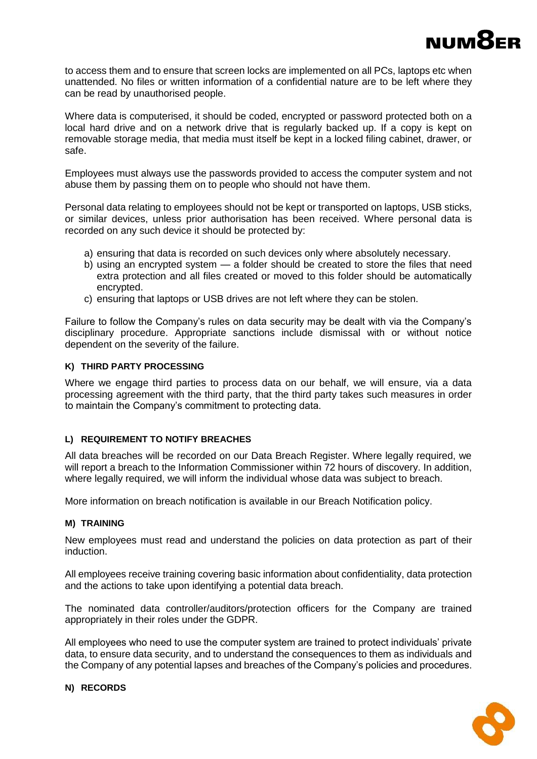

to access them and to ensure that screen locks are implemented on all PCs, laptops etc when unattended. No files or written information of a confidential nature are to be left where they can be read by unauthorised people.

Where data is computerised, it should be coded, encrypted or password protected both on a local hard drive and on a network drive that is regularly backed up. If a copy is kept on removable storage media, that media must itself be kept in a locked filing cabinet, drawer, or safe.

Employees must always use the passwords provided to access the computer system and not abuse them by passing them on to people who should not have them.

Personal data relating to employees should not be kept or transported on laptops, USB sticks, or similar devices, unless prior authorisation has been received. Where personal data is recorded on any such device it should be protected by:

- a) ensuring that data is recorded on such devices only where absolutely necessary.
- b) using an encrypted system a folder should be created to store the files that need extra protection and all files created or moved to this folder should be automatically encrypted.
- c) ensuring that laptops or USB drives are not left where they can be stolen.

Failure to follow the Company's rules on data security may be dealt with via the Company's disciplinary procedure. Appropriate sanctions include dismissal with or without notice dependent on the severity of the failure.

### **K) THIRD PARTY PROCESSING**

Where we engage third parties to process data on our behalf, we will ensure, via a data processing agreement with the third party, that the third party takes such measures in order to maintain the Company's commitment to protecting data.

### **L) REQUIREMENT TO NOTIFY BREACHES**

All data breaches will be recorded on our Data Breach Register. Where legally required, we will report a breach to the Information Commissioner within 72 hours of discovery. In addition, where legally required, we will inform the individual whose data was subject to breach.

More information on breach notification is available in our Breach Notification policy.

### **M) TRAINING**

New employees must read and understand the policies on data protection as part of their induction.

All employees receive training covering basic information about confidentiality, data protection and the actions to take upon identifying a potential data breach.

The nominated data controller/auditors/protection officers for the Company are trained appropriately in their roles under the GDPR.

All employees who need to use the computer system are trained to protect individuals' private data, to ensure data security, and to understand the consequences to them as individuals and the Company of any potential lapses and breaches of the Company's policies and procedures.



**N) RECORDS**